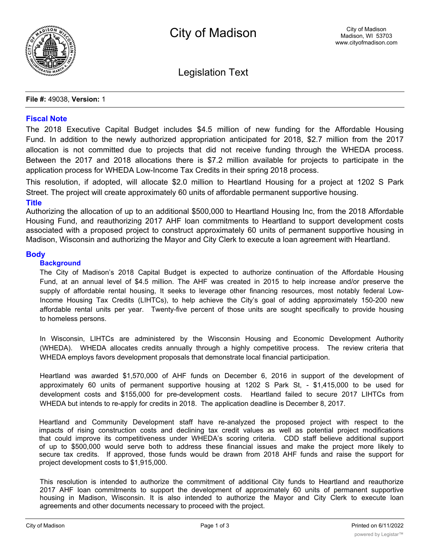

Legislation Text

#### **File #:** 49038, **Version:** 1

# **Fiscal Note**

The 2018 Executive Capital Budget includes \$4.5 million of new funding for the Affordable Housing Fund. In addition to the newly authorized appropriation anticipated for 2018, \$2.7 million from the 2017 allocation is not committed due to projects that did not receive funding through the WHEDA process. Between the 2017 and 2018 allocations there is \$7.2 million available for projects to participate in the application process for WHEDA Low-Income Tax Credits in their spring 2018 process.

This resolution, if adopted, will allocate \$2.0 million to Heartland Housing for a project at 1202 S Park Street. The project will create approximately 60 units of affordable permanent supportive housing.

## **Title**

Authorizing the allocation of up to an additional \$500,000 to Heartland Housing Inc, from the 2018 Affordable Housing Fund, and reauthorizing 2017 AHF loan commitments to Heartland to support development costs associated with a proposed project to construct approximately 60 units of permanent supportive housing in Madison, Wisconsin and authorizing the Mayor and City Clerk to execute a loan agreement with Heartland.

## **Body**

## **Background**

The City of Madison's 2018 Capital Budget is expected to authorize continuation of the Affordable Housing Fund, at an annual level of \$4.5 million. The AHF was created in 2015 to help increase and/or preserve the supply of affordable rental housing, It seeks to leverage other financing resources, most notably federal Low-Income Housing Tax Credits (LIHTCs), to help achieve the City's goal of adding approximately 150-200 new affordable rental units per year. Twenty-five percent of those units are sought specifically to provide housing to homeless persons.

In Wisconsin, LIHTCs are administered by the Wisconsin Housing and Economic Development Authority (WHEDA). WHEDA allocates credits annually through a highly competitive process. The review criteria that WHEDA employs favors development proposals that demonstrate local financial participation.

Heartland was awarded \$1,570,000 of AHF funds on December 6, 2016 in support of the development of approximately 60 units of permanent supportive housing at 1202 S Park St, - \$1,415,000 to be used for development costs and \$155,000 for pre-development costs. Heartland failed to secure 2017 LIHTCs from WHEDA but intends to re-apply for credits in 2018. The application deadline is December 8, 2017.

Heartland and Community Development staff have re-analyzed the proposed project with respect to the impacts of rising construction costs and declining tax credit values as well as potential project modifications that could improve its competitiveness under WHEDA's scoring criteria. CDD staff believe additional support of up to \$500,000 would serve both to address these financial issues and make the project more likely to secure tax credits. If approved, those funds would be drawn from 2018 AHF funds and raise the support for project development costs to \$1,915,000.

This resolution is intended to authorize the commitment of additional City funds to Heartland and reauthorize 2017 AHF loan commitments to support the development of approximately 60 units of permanent supportive housing in Madison, Wisconsin. It is also intended to authorize the Mayor and City Clerk to execute loan agreements and other documents necessary to proceed with the project.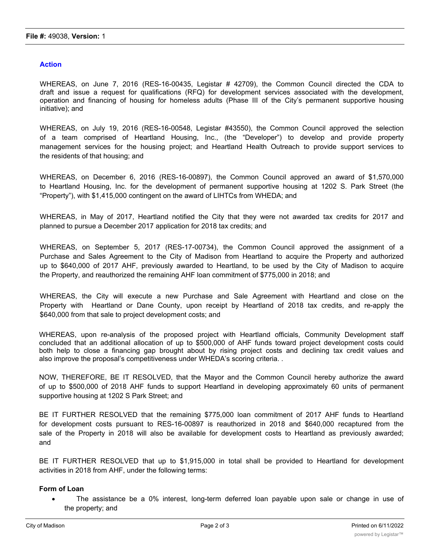## **Action**

WHEREAS, on June 7, 2016 (RES-16-00435, Legistar # 42709), the Common Council directed the CDA to draft and issue a request for qualifications (RFQ) for development services associated with the development, operation and financing of housing for homeless adults (Phase III of the City's permanent supportive housing initiative); and

WHEREAS, on July 19, 2016 (RES-16-00548, Legistar #43550), the Common Council approved the selection of a team comprised of Heartland Housing, Inc., (the "Developer") to develop and provide property management services for the housing project; and Heartland Health Outreach to provide support services to the residents of that housing; and

WHEREAS, on December 6, 2016 (RES-16-00897), the Common Council approved an award of \$1,570,000 to Heartland Housing, Inc. for the development of permanent supportive housing at 1202 S. Park Street (the "Property"), with \$1,415,000 contingent on the award of LIHTCs from WHEDA; and

WHEREAS, in May of 2017, Heartland notified the City that they were not awarded tax credits for 2017 and planned to pursue a December 2017 application for 2018 tax credits; and

WHEREAS, on September 5, 2017 (RES-17-00734), the Common Council approved the assignment of a Purchase and Sales Agreement to the City of Madison from Heartland to acquire the Property and authorized up to \$640,000 of 2017 AHF, previously awarded to Heartland, to be used by the City of Madison to acquire the Property, and reauthorized the remaining AHF loan commitment of \$775,000 in 2018; and

WHEREAS, the City will execute a new Purchase and Sale Agreement with Heartland and close on the Property with Heartland or Dane County, upon receipt by Heartland of 2018 tax credits, and re-apply the \$640,000 from that sale to project development costs; and

WHEREAS, upon re-analysis of the proposed project with Heartland officials, Community Development staff concluded that an additional allocation of up to \$500,000 of AHF funds toward project development costs could both help to close a financing gap brought about by rising project costs and declining tax credit values and also improve the proposal's competitiveness under WHEDA's scoring criteria. .

NOW, THEREFORE, BE IT RESOLVED, that the Mayor and the Common Council hereby authorize the award of up to \$500,000 of 2018 AHF funds to support Heartland in developing approximately 60 units of permanent supportive housing at 1202 S Park Street; and

BE IT FURTHER RESOLVED that the remaining \$775,000 loan commitment of 2017 AHF funds to Heartland for development costs pursuant to RES-16-00897 is reauthorized in 2018 and \$640,000 recaptured from the sale of the Property in 2018 will also be available for development costs to Heartland as previously awarded; and

BE IT FURTHER RESOLVED that up to \$1,915,000 in total shall be provided to Heartland for development activities in 2018 from AHF, under the following terms:

#### **Form of Loan**

· The assistance be a 0% interest, long-term deferred loan payable upon sale or change in use of the property; and

 $\mathcal{L}$  the developer shall apply the proceeds of the expense of the expense of acquiring, constructing, constructing, construction, construction, construction, construction, construction, construction, construction, con